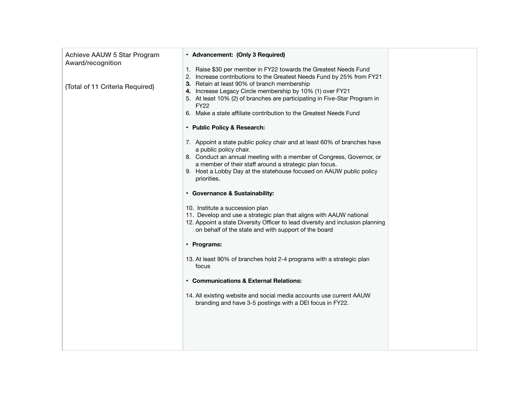| <b>Achieve AAUW 5 Star Program</b><br>Award/recognition<br>(Total of 11 Criteria Required) | • Advancement: (Only 3 Required)<br>1. Raise \$30 per member in FY22 towards the Greatest Needs Fund<br>2. Increase contributions to the Greatest Needs Fund by 25% from FY21<br>3. Retain at least 90% of branch membership<br>4. Increase Legacy Circle membership by 10% (1) over FY21 |  |
|--------------------------------------------------------------------------------------------|-------------------------------------------------------------------------------------------------------------------------------------------------------------------------------------------------------------------------------------------------------------------------------------------|--|
|                                                                                            | 5. At least 10% (2) of branches are participating in Five-Star Program in<br>FY22<br>6. Make a state affiliate contribution to the Greatest Needs Fund                                                                                                                                    |  |
|                                                                                            | • Public Policy & Research:                                                                                                                                                                                                                                                               |  |
|                                                                                            | 7. Appoint a state public policy chair and at least 60% of branches have<br>a public policy chair.<br>8. Conduct an annual meeting with a member of Congress, Governor, or                                                                                                                |  |
|                                                                                            | a member of their staff around a strategic plan focus.<br>9. Host a Lobby Day at the statehouse focused on AAUW public policy<br>priorities.                                                                                                                                              |  |
|                                                                                            | • Governance & Sustainability:                                                                                                                                                                                                                                                            |  |
|                                                                                            | 10. Institute a succession plan<br>11. Develop and use a strategic plan that aligns with AAUW national<br>12. Appoint a state Diversity Officer to lead diversity and inclusion planning<br>on behalf of the state and with support of the board                                          |  |
|                                                                                            | • Programs:                                                                                                                                                                                                                                                                               |  |
|                                                                                            | 13. At least 90% of branches hold 2-4 programs with a strategic plan<br>focus                                                                                                                                                                                                             |  |
|                                                                                            | • Communications & External Relations:                                                                                                                                                                                                                                                    |  |
|                                                                                            | 14. All existing website and social media accounts use current AAUW<br>branding and have 3-5 postings with a DEI focus in FY22.                                                                                                                                                           |  |
|                                                                                            |                                                                                                                                                                                                                                                                                           |  |
|                                                                                            |                                                                                                                                                                                                                                                                                           |  |